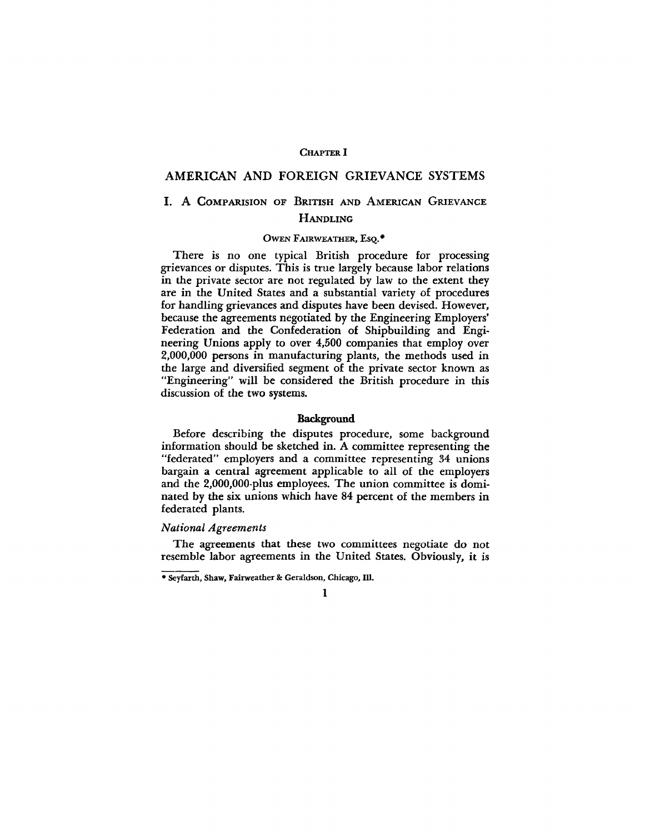## CHAPTER I

## AMERICAN AND FOREIGN GRIEVANCE SYSTEMS

# I. A COMPARISION OF BRITISH AND AMERICAN GRIEVANCE **HANDLING**

### OWEN FAIRWEATHER, ESQ.\*

There is no one typical British procedure for processing grievances or disputes. This is true largely because labor relations in the private sector are not regulated by law to the extent they are in the United States and a substantial variety of procedures for handling grievances and disputes have been devised. However, because the agreements negotiated by the Engineering Employers' Federation and the Confederation of Shipbuilding and Engineering Unions apply to over 4,500 companies that employ over 2,000,000 persons in manufacturing plants, the methods used in the large and diversified segment of the private sector known as "Engineering" will be considered the British procedure in this discussion of the two systems.

#### Background

Before describing the disputes procedure, some background information should be sketched in. A committee representing the "federated" employers and a committee representing 34 unions bargain a central agreement applicable to all of the employers and the 2,000,000-plus employees. The union committee is dominated by the six unions which have 84 percent of the members in federated plants.

#### *National Agreements*

The agreements that these two committees negotiate do not resemble labor agreements in the United States. Obviously, it is

<sup>•</sup> Seyfarth, Shaw, Fairweather & Geraldson, Chicago, 111.

<sup>1</sup>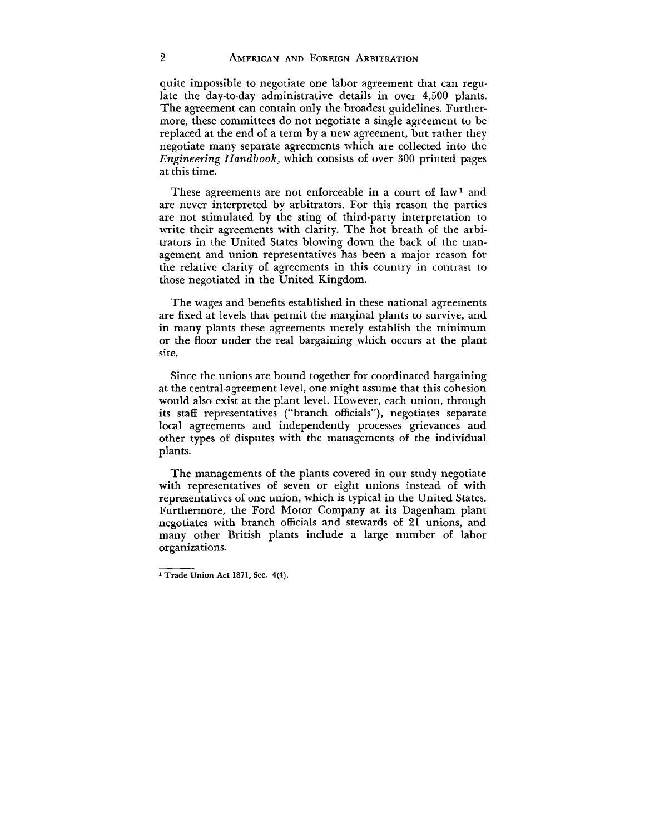quite impossible to negotiate one labor agreement that can regulate the day-to-day administrative details in over 4,500 plants. The agreement can contain only the broadest guidelines. Furthermore, these committees do not negotiate a single agreement to be replaced at the end of a term by a new agreement, but rather they negotiate many separate agreements which are collected into the *Engineering Handbook,* which consists of over 300 printed pages at this time.

These agreements are not enforceable in a court of law<sup>1</sup> and are never interpreted by arbitrators. For this reason the parties are not stimulated by the sting of third-party interpretation to write their agreements with clarity. The hot breath of the arbitrators in the United States blowing down the back of the management and union representatives has been a major reason for the relative clarity of agreements in this country in contrast to those negotiated in the United Kingdom.

The wages and benefits established in these national agreements are fixed at levels that permit the marginal plants to survive, and in many plants these agreements merely establish the minimum or the floor under the real bargaining which occurs at the plant site.

Since the unions are bound together for coordinated bargaining at the central-agreement level, one might assume that this cohesion would also exist at the plant level. However, each union, through its staff representatives ("branch officials"), negotiates separate local agreements and independently processes grievances and other types of disputes with the managements of the individual plants.

The managements of the plants covered in our study negotiate with representatives of seven or eight unions instead of with representatives of one union, which is typical in the United States. Furthermore, the Ford Motor Company at its Dagenham plant negotiates with branch officials and stewards of 21 unions, and many other British plants include a large number of labor organizations.

<sup>1</sup> Trade Union Act 1871, Sec. 4(4).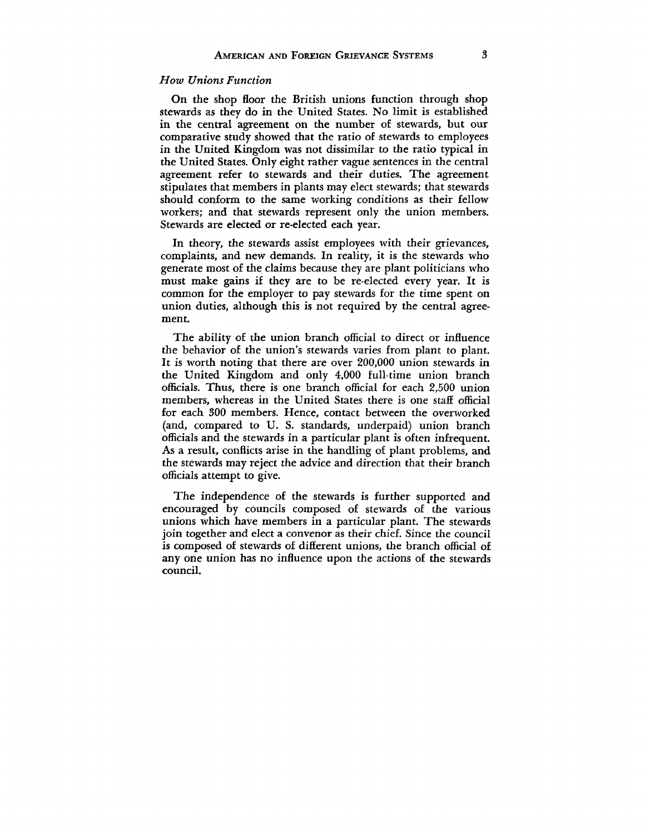## *How Unions Function*

On the shop floor the British unions function through shop stewards as they do in the United States. No limit is established in the central agreement on the number of stewards, but our comparative study showed that the ratio of stewards to employees in the United Kingdom was not dissimilar to the ratio typical in the United States. Only eight rather vague sentences in the central agreement refer to stewards and their duties. The agreement stipulates that members in plants may elect stewards; that stewards should conform to the same working conditions as their fellow workers; and that stewards represent only the union members. Stewards are elected or re-elected each year.

In theory, the stewards assist employees with their grievances, complaints, and new demands. In reality, it is the stewards who generate most of the claims because they are plant politicians who must make gains if they are to be re-elected every year. It is common for the employer to pay stewards for the time spent on union duties, although this is not required by the central agreement.

The ability of the union branch official to direct or influence the behavior of the union's stewards varies from plant to plant. It is worth noting that there are over 200,000 union stewards in the United Kingdom and only 4,000 full-time union branch officials. Thus, there is one branch official for each 2,500 union members, whereas in the United States there is one staff official for each 300 members. Hence, contact between the overworked (and, compared to U. S. standards, underpaid) union branch officials and the stewards in a particular plant is often infrequent. As a result, conflicts arise in the handling of plant problems, and the stewards may reject the advice and direction that their branch officials attempt to give.

The independence of the stewards is further supported and encouraged by councils composed of stewards of the various unions which have members in a particular plant. The stewards join together and elect a convenor as their chief. Since the council is composed of stewards of different unions, the branch official of any one union has no influence upon the actions of the stewards council.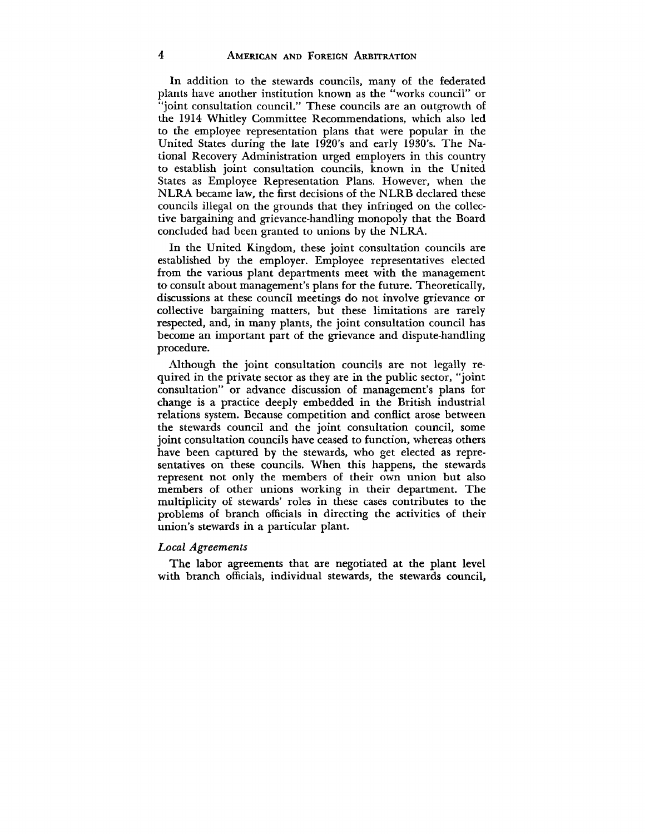In addition to the stewards councils, many of the federated plants have another institution known as the "works council" or 'joint consultation council." These councils are an outgrowth of the 1914 Whitley Committee Recommendations, which also led to the employee representation plans that were popular in the United States during the late 1920's and early 1930's. The National Recovery Administration urged employers in this country to establish joint consultation councils, known in the United States as Employee Representation Plans. However, when the NLRA became law, the first decisions of the NLRB declared these councils illegal on the grounds that they infringed on the collective bargaining and grievance-handling monopoly that the Board concluded had been granted to unions by the NLRA.

In the United Kingdom, these joint consultation councils are established by the employer. Employee representatives elected from the various plant departments meet with the management to consult about management's plans for the future. Theoretically, discussions at these council meetings do not involve grievance or collective bargaining matters, but these limitations are rarely respected, and, in many plants, the joint consultation council has become an important part of the grievance and dispute-handling procedure.

Although the joint consultation councils are not legally required in the private sector as they are in the public sector, "joint consultation" or advance discussion of management's plans for change is a practice deeply embedded in the British industrial relations system. Because competition and conflict arose between the stewards council and the joint consultation council, some joint consultation councils have ceased to function, whereas others have been captured by the stewards, who get elected as representatives on these councils. When this happens, the stewards represent not only the members of their own union but also members of other unions working in their department. The multiplicity of stewards' roles in these cases contributes to the problems of branch officials in directing the activities of their union's stewards in a particular plant.

#### *Local Agreements*

The labor agreements that are negotiated at the plant level with branch officials, individual stewards, the stewards council,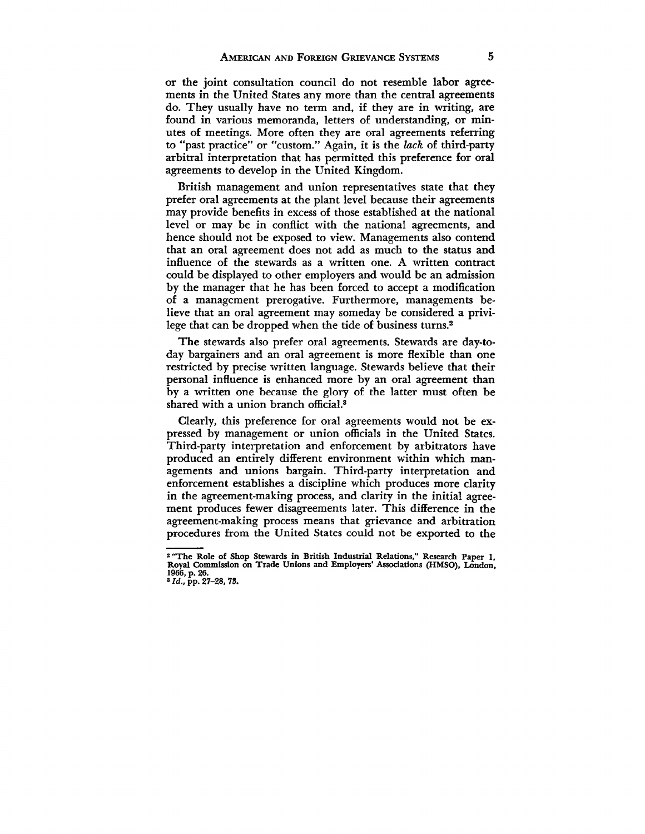or the joint consultation council do not resemble labor agreements in the United States any more than the central agreements do. They usually have no term and, if they are in writing, are found in various memoranda, letters of understanding, or minutes of meetings. More often they are oral agreements referring to "past practice" or "custom." Again, it is the *lack* of third-party arbitral interpretation that has permitted this preference for oral agreements to develop in the United Kingdom.

British management and union representatives state that they prefer oral agreements at the plant level because their agreements may provide benefits in excess of those established at the national level or may be in conflict with the national agreements, and hence should not be exposed to view. Managements also contend that an oral agreement does not add as much to the status and influence of the stewards as a written one. A written contract could be displayed to other employers and would be an admission by the manager that he has been forced to accept a modification of a management prerogative. Furthermore, managements believe that an oral agreement may someday be considered a privilege that can be dropped when the tide of business turns.<sup>2</sup>

The stewards also prefer oral agreements. Stewards are day-today bargainers and an oral agreement is more flexible than one restricted by precise written language. Stewards believe that their personal influence is enhanced more by an oral agreement than by a written one because the glory of the latter must often be shared with a union branch official.<sup>3</sup>

Clearly, this preference for oral agreements would not be expressed by management or union officials in the United States. Third-party interpretation and enforcement by arbitrators have produced an entirely different environment within which managements and unions bargain. Third-party interpretation and enforcement establishes a discipline which produces more clarity in the agreement-making process, and clarity in the initial agreement produces fewer disagreements later. This difference in the agreement-making process means that grievance and arbitration procedures from the United States could not be exported to the

**<sup>2</sup> "The Role of Shop Stewards in British Industrial Relations," Research Paper I, Royal Commission on Trade Unions and Employers' Associations (HMSO), London, 1966, p. 26. »** *Id.,* **pp. 27-28, 73.**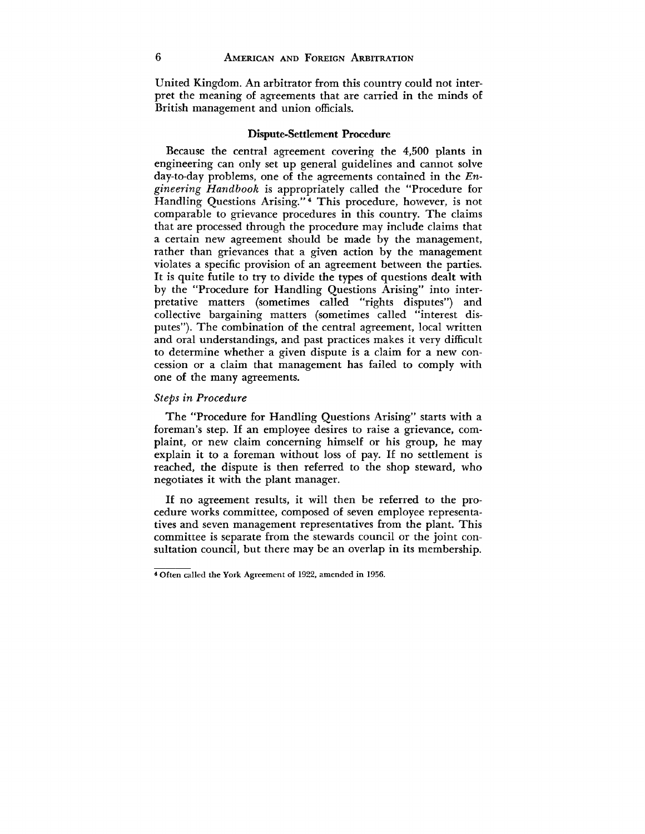United Kingdom. An arbitrator from this country could not interpret the meaning of agreements that are carried in the minds of British management and union officials.

#### Dispute-Settlement Procedure

Because the central agreement covering the 4,500 plants in engineering can only set up general guidelines and cannot solve day-to-day problems, one of the agreements contained in the *Engineering Handbook* is appropriately called the "Procedure for Handling Questions Arising."<sup>4</sup> This procedure, however, is not comparable to grievance procedures in this country. The claims that are processed through the procedure may include claims that a certain new agreement should be made by the management, rather than grievances that a given action by the management violates a specific provision of an agreement between the parties. It is quite futile to try to divide the types of questions dealt with by the "Procedure for Handling Questions Arising" into interpretative matters (sometimes called "rights disputes") and collective bargaining matters (sometimes called "interest disputes"). The combination of the central agreement, local written and oral understandings, and past practices makes it very difficult to determine whether a given dispute is a claim for a new concession or a claim that management has failed to comply with one of the many agreements.

#### *Steps in Procedure*

The "Procedure for Handling Questions Arising" starts with a foreman's step. If an employee desires to raise a grievance, complaint, or new claim concerning himself or his group, he may explain it to a foreman without loss of pay. If no settlement is reached, the dispute is then referred to the shop steward, who negotiates it with the plant manager.

If no agreement results, it will then be referred to the procedure works committee, composed of seven employee representatives and seven management representatives from the plant. This committee is separate from the stewards council or the joint consultation council, but there may be an overlap in its membership.

<sup>\*</sup> Often called the York Agreement of 1922, amended in 1956.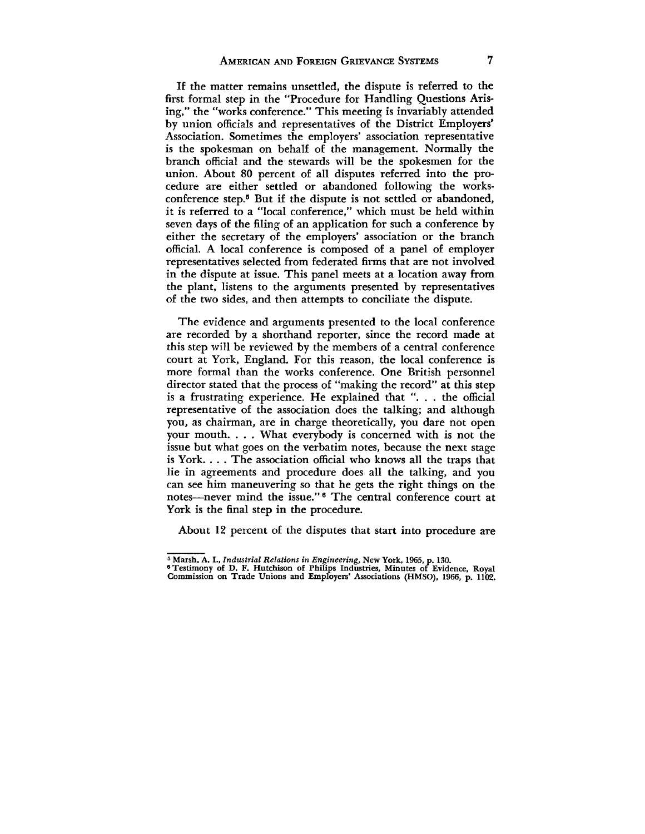If the matter remains unsettled, the dispute is referred to the first formal step in the "Procedure for Handling Questions Arising," the "works conference." This meeting is invariably attended by union officials and representatives of the District Employers' Association. Sometimes the employers' association representative is the spokesman on behalf of the management. Normally the branch official and the stewards will be the spokesmen for the union. About 80 percent of all disputes referred into the procedure are either settled or abandoned following the worksconference step.<sup>5</sup> But if the dispute is not settled or abandoned, it is referred to a "local conference," which must be held within seven days of the filing of an application for such a conference by either the secretary of the employers' association or the branch official. A local conference is composed of a panel of employer representatives selected from federated firms that are not involved in the dispute at issue. This panel meets at a location away from the plant, listens to the arguments presented by representatives of the two sides, and then attempts to conciliate the dispute.

The evidence and arguments presented to the local conference are recorded by a shorthand reporter, since the record made at this step will be reviewed by the members of a central conference court at York, England. For this reason, the local conference is more formal than the works conference. One British personnel director stated that the process of "making the record" at this step is a frustrating experience. He explained that ". . . the official representative of the association does the talking; and although you, as chairman, are in charge theoretically, you dare not open your mouth. . . . What everybody is concerned with is not the issue but what goes on the verbatim notes, because the next stage is York. . . . The association official who knows all the traps that lie in agreements and procedure does all the talking, and you can see him maneuvering so that he gets the right things on the notes—never mind the issue."<sup>6</sup> The central conference court at York is the final step in the procedure.

About 12 percent of the disputes that start into procedure are

<sup>&</sup>lt;sup>5</sup> Marsh, A. I., *Industrial Relations in Engineering*, New York, 1965, p. 130.<br><sup>6</sup> Testimony of D. F. Hutchison of Philips Industries, Minutes of Evidence, Royal<br>Commission on Trade Unions and Employers' Associations (HM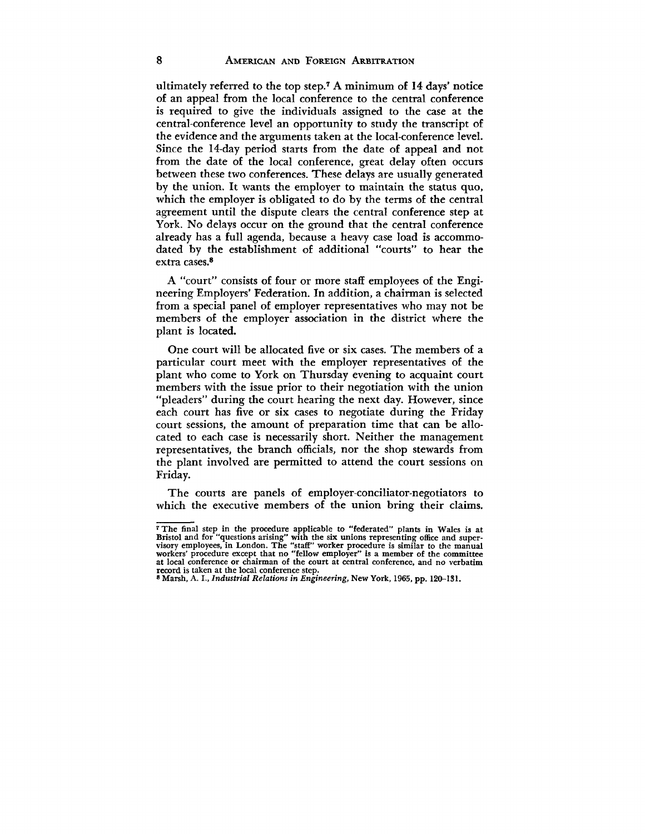ultimately referred to the top step.<sup>7</sup> A minimum of 14 days' notice of an appeal from the local conference to the central conference is required to give the individuals assigned to the case at the central-conference level an opportunity to study the transcript of the evidence and the arguments taken at the local-conference level. Since the 14-day period starts from the date of appeal and not from the date of the local conference, great delay often occurs between these two conferences. These delays are usually generated by the union. It wants the employer to maintain the status quo, which the employer is obligated to do by the terms of the central agreement until the dispute clears the central conference step at York. No delays occur on the ground that the central conference already has a full agenda, because a heavy case load is accommodated by the establishment of additional "courts" to hear the extra cases.<sup>8</sup>

A "court" consists of four or more staff employees of the Engineering Employers' Federation. In addition, a chairman is selected from a special panel of employer representatives who may not be members of the employer association in the district where the plant is located.

One court will be allocated five or six cases. The members of a particular court meet with the employer representatives of the plant who come to York on Thursday evening to acquaint court members with the issue prior to their negotiation with the union "pleaders" during the court hearing the next day. However, since each court has five or six cases to negotiate during the Friday court sessions, the amount of preparation time that can be allocated to each case is necessarily short. Neither the management representatives, the branch officials, nor the shop stewards from the plant involved are permitted to attend the court sessions on Friday.

The courts are panels of employer-conciliator-negotiators to which the executive members of the union bring their claims.

The final step in the procedure applicable to "federated" plants in Wales is at Bristol and for "questions arising" with the six unions representing office and supervisory employees, in London. The "staff" worker procedure at local conference or chairman of the court at central conference, and no verbatim record is taken at the local conference step.

<sup>8</sup> Marsh, A. I., *Industrial Relations in Engineering,* New York, 1965, pp. 120-131.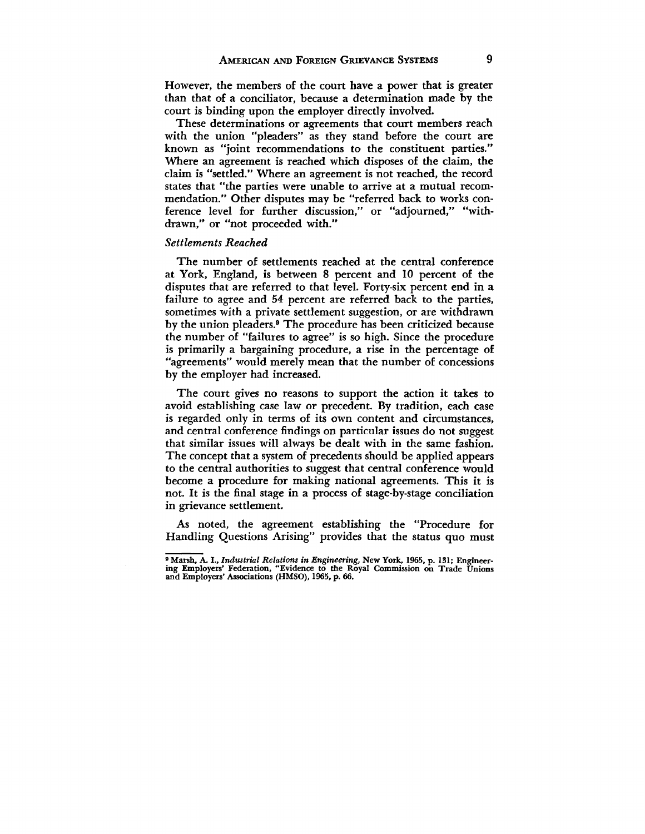However, the members of the court have a power that is greater than that of a conciliator, because a determination made by the court is binding upon the employer directly involved.

These determinations or agreements that court members reach with the union "pleaders" as they stand before the court are known as "joint recommendations to the constituent parties." Where an agreement is reached which disposes of the claim, the claim is "settled." Where an agreement is not reached, the record states that "the parties were unable to arrive at a mutual recommendation." Other disputes may be "referred back to works conference level for further discussion," or "adjourned," "withdrawn," or "not proceeded with."

## *Settlements Reached*

The number of settlements reached at the central conference at York, England, is between 8 percent and 10 percent of the disputes that are referred to that level. Forty-six percent end in a failure to agree and 54 percent are referred back to the parties, sometimes with a private settlement suggestion, or are withdrawn by the union pleaders.<sup>9</sup> The procedure has been criticized because the number of "failures to agree" is so high. Since the procedure is primarily a bargaining procedure, a rise in the percentage of "agreements" would merely mean that the number of concessions by the employer had increased.

The court gives no reasons to support the action it takes to avoid establishing case law or precedent. By tradition, each case is regarded only in terms of its own content and circumstances, and central conference findings on particular issues do not suggest that similar issues will always be dealt with in the same fashion. The concept that a system of precedents should be applied appears to the central authorities to suggest that central conference would become a procedure for making national agreements. This it is not. It is the final stage in a process of stage-by-stage conciliation in grievance settlement.

As noted, the agreement establishing the "Procedure for Handling Questions Arising" provides that the status quo must

<sup>9</sup> Marsh, A. I., *Industrial Relations in Engineering,* New York, 1965, p. 131; Engineer-ing Employers' Federation, "Evidence to the Royal Commission on Trade Unions and Employers' Associations (HMSO), 1965, p. 66.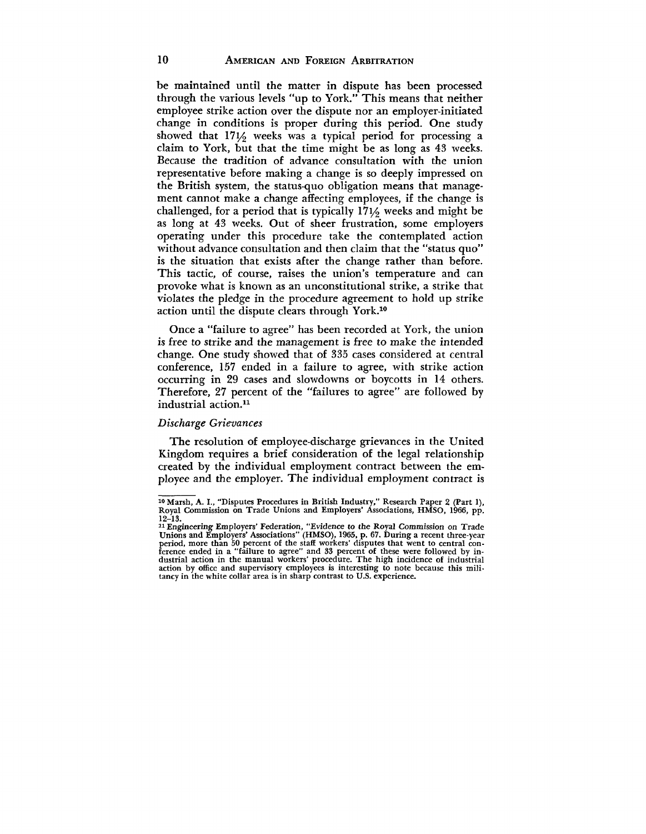# 10 **AMERICAN AND FOREIGN ARBITRATION**

be maintained until the matter in dispute has been processed through the various levels "up to York." This means that neither employee strike action over the dispute nor an employer-initiated change in conditions is proper during this period. One study showed that  $17\frac{1}{2}$  weeks was a typical period for processing a claim to York, but that the time might be as long as 43 weeks. Because the tradition of advance consultation with the union representative before making a change is so deeply impressed on the British system, the status-quo obligation means that management cannot make a change affecting employees, if the change is challenged, for a period that is typically  $171/6$  weeks and might be as long at 43 weeks. Out of sheer frustration, some employers operating under this procedure take the contemplated action without advance consultation and then claim that the "status quo" is the situation that exists after the change rather than before. This tactic, of course, raises the union's temperature and can provoke what is known as an unconstitutional strike, a strike that violates the pledge in the procedure agreement to hold up strike action until the dispute clears through York.<sup>10</sup>

Once a "failure to agree" has been recorded at York, the union is free to strike and the management is free to make the intended change. One study showed that of 335 cases considered at central conference, 157 ended in a failure to agree, with strike action occurring in 29 cases and slowdowns or boycotts in 14 others. Therefore, 27 percent of the "failures to agree" are followed by industrial action.<sup>11</sup>

### *Discharge Grievances*

The resolution of employee-discharge grievances in the United Kingdom requires a brief consideration of the legal relationship created by the individual employment contract between the employee and the employer. The individual employment contract is

<sup>10</sup> Marsh, A. I., "Disputes Procedures in British Industry," Research Paper 2 (Part 1), Royal Commission on Trade Unions and Employers' Associations, HMSO, 1966, pp. 12-13.

<sup>&</sup>lt;sup>21</sup> Engineering Employers' Federation, "Evidence to the Royal Commission on Trade<br>Unions and Employers' Associations" (HMSO), 1965, p. 67. During a recent three-year<br>period, more than 50 percent of the staff workers' disp action by office and supervisory employees is interesting to note because this mili-tancy in the white collar area is in sharp contrast to U.S. experience.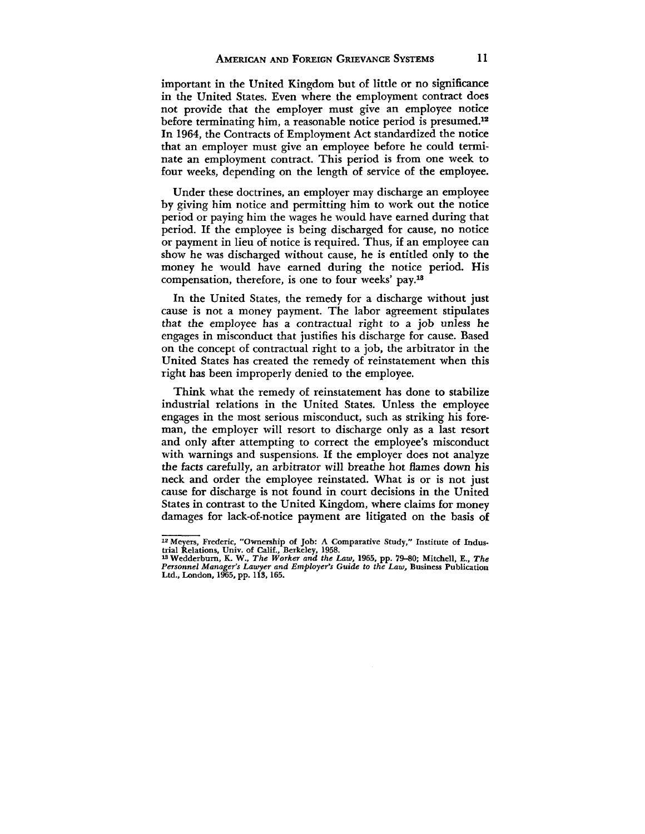important in the United Kingdom but of little or no significance in the United States. Even where the employment contract does not provide that the employer must give an employee notice before terminating him, a reasonable notice period is presumed.<sup>12</sup> In 1964, the Contracts of Employment Act standardized the notice that an employer must give an employee before he could terminate an employment contract. This period is from one week to four weeks, depending on the length of service of the employee.

Under these doctrines, an employer may discharge an employee by giving him notice and permitting him to work out the notice period or paying him the wages he would have earned during that period. If the employee is being discharged for cause, no notice or payment in lieu of notice is required. Thus, if an employee can show he was discharged without cause, he is entitled only to the money he would have earned during the notice period. His compensation, therefore, is one to four weeks' pay.<sup>18</sup>

In the United States, the remedy for a discharge without just cause is not a money payment. The labor agreement stipulates that the employee has a contractual right to a job unless he engages in misconduct that justifies his discharge for cause. Based on the concept of contractual right to a job, the arbitrator in the United States has created the remedy of reinstatement when this right has been improperly denied to the employee.

Think what the remedy of reinstatement has done to stabilize industrial relations in the United States. Unless the employee engages in the most serious misconduct, such as striking his foreman, the employer will resort to discharge only as a last resort and only after attempting to correct the employee's misconduct with warnings and suspensions. If the employer does not analyze the facts carefully, an arbitrator will breathe hot flames down his neck and order the employee reinstated. What is or is not just cause for discharge is not found in court decisions in the United States in contrast to the United Kingdom, where claims for money damages for lack-of-notice payment are litigated on the basis of

<sup>12</sup> Meyers, Frederic, "Ownership of Job: A Comparative Study," Institute of Indus-trial Relations, Univ. of Calif., Berkeley, 1958. "Wedderburn, K. W., *The Worker and the Law,* 1965, pp. 79-80; Mitchell, E., *The*

*Personnel Manager's Lawyer and Employer's Guide to the Law,* Business Publication Ltd., London, 1965, pp. 113,165.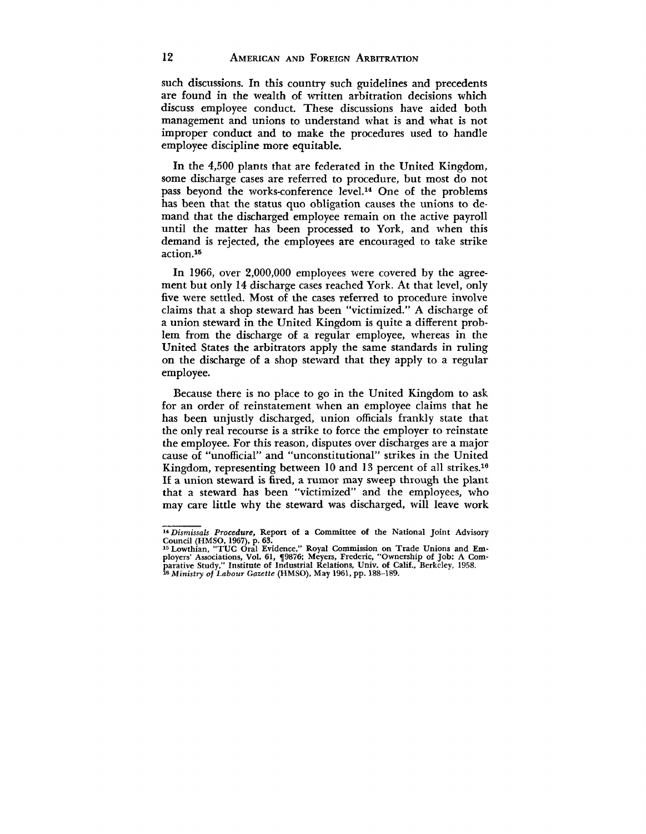such discussions. In this country such guidelines and precedents are found in the wealth of written arbitration decisions which discuss employee conduct. These discussions have aided both management and unions to understand what is and what is not improper conduct and to make the procedures used to handle employee discipline more equitable.

In the 4,500 plants that are federated in the United Kingdom, some discharge cases are referred to procedure, but most do not pass beyond the works-conference level.<sup>14</sup> One of the problems has been that the status quo obligation causes the unions to demand that the discharged employee remain on the active payroll until the matter has been processed to York, and when this demand is rejected, the employees are encouraged to take strike action.<sup>15</sup>

In 1966, over 2,000,000 employees were covered by the agreement but only 14 discharge cases reached York. At that level, only five were settled. Most of the cases referred to procedure involve claims that a shop steward has been "victimized." A discharge of a union steward in the United Kingdom is quite a different problem from the discharge of a regular employee, whereas in the United States the arbitrators apply the same standards in ruling on the discharge of a shop steward that they apply to a regular employee.

Because there is no place to go in the United Kingdom to ask for an order of reinstatement when an employee claims that he has been unjustly discharged, union officials frankly state that the only real recourse is a strike to force the employer to reinstate the employee. For this reason, disputes over discharges are a major cause of "unofficial" and "unconstitutional" strikes in the United Kingdom, representing between 10 and 13 percent of all strikes.<sup>16</sup> If a union steward is fired, a rumor may sweep through the plant that a steward has been "victimized" and the employees, who may care little why the steward was discharged, will leave work

*<sup>14</sup> Dismissals Procedure,* Report of a Committee of the National Joint Advisory

Council (HMSO, 1967), p. 63.<br><sup>15</sup> Lowthian, "TUC Oral Evidence," Royal Commission on Trade Unions and Em-<br>ployers' Associations, Vol. 61, ¶9876; Meyers, Frederic, "Ownership of Job: A Com-<br>parative Study," Institute of Ind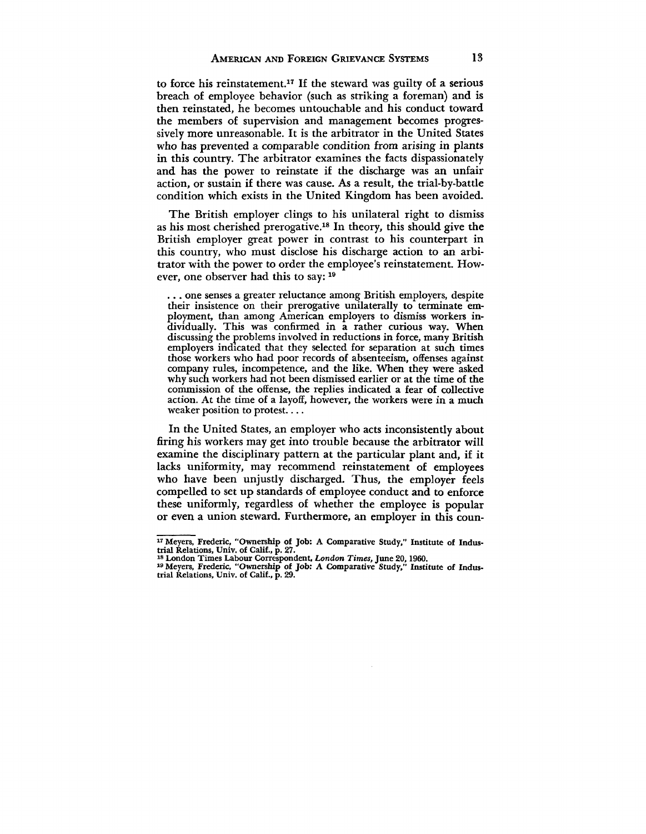to force his reinstatement.<sup>17</sup> If the steward was guilty of a serious breach of employee behavior (such as striking a foreman) and is then reinstated, he becomes untouchable and his conduct toward the members of supervision and management becomes progressively more unreasonable. It is the arbitrator in the United States who has prevented a comparable condition from arising in plants in this country. The arbitrator examines the facts dispassionately and has the power to reinstate if the discharge was an unfair action, or sustain if there was cause. As a result, the trial-by-battle condition which exists in the United Kingdom has been avoided.

The British employer clings to his unilateral right to dismiss as his most cherished prerogative.<sup>18</sup> In theory, this should give the British employer great power in contrast to his counterpart in this country, who must disclose his discharge action to an arbitrator with the power to order the employee's reinstatement. However, one observer had this to say: 19

. . . one senses a greater reluctance among British employers, despite their insistence on their prerogative unilaterally to terminate employment, than among American employers to dismiss workers individually. This was confirmed in a rather curious way. When discussing the problems involved in reductions in force, many British employers indicated that they selected for separation at such times those workers who had poor records of absenteeism, offenses against company rules, incompetence, and the like. When they were asked why such workers had not been dismissed earlier or at the time of the commission of the offense, the replies indicated a fear of collective action. At the time of a layoff, however, the workers were in a much weaker position to protest....

In the United States, an employer who acts inconsistently about firing his workers may get into trouble because the arbitrator will examine the disciplinary pattern at the particular plant and, if it lacks uniformity, may recommend reinstatement of employees who have been unjustly discharged. Thus, the employer feels compelled to set up standards of employee conduct and to enforce these uniformly, regardless of whether the employee is popular or even a union steward. Furthermore, an employer in this coun-

<sup>&</sup>lt;sup>17</sup> Meyers, Frederic, "Ownership of Job: A Comparative Study," Institute of Industrial Relations, Univ. of Calif., p. 27.

<sup>18</sup> London Times Labour Correspondent, *London Times*, June 20, 1960.<br><sup>19</sup> Meyers, Frederic, "Ownership of Job: A Comparative Study," Institute of Indus-<br>trial Relations, Univ. of Calif., p. 29.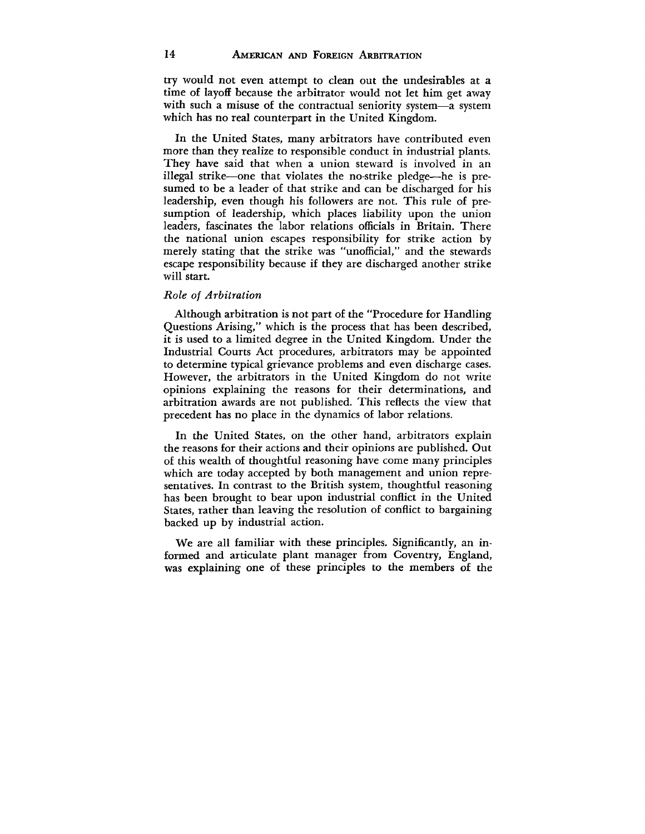try would not even attempt to clean out the undesirables at a time of layoff because the arbitrator would not let him get away with such a misuse of the contractual seniority system—a system which has no real counterpart in the United Kingdom.

In the United States, many arbitrators have contributed even more than they realize to responsible conduct in industrial plants. They have said that when a union steward is involved in an illegal strike—one that violates the no-strike pledge—he is presumed to be a leader of that strike and can be discharged for his leadership, even though his followers are not. This rule of presumption of leadership, which places liability upon the union leaders, fascinates the labor relations officials in Britain. There the national union escapes responsibility for strike action by merely stating that the strike was "unofficial," and the stewards escape responsibility because if they are discharged another strike will start.

## *Role of Arbitration*

Although arbitration is not part of the "Procedure for Handling Questions Arising," which is the process that has been described, it is used to a limited degree in the United Kingdom. Under the Industrial Courts Act procedures, arbitrators may be appointed to determine typical grievance problems and even discharge cases. However, the arbitrators in the United Kingdom do not write opinions explaining the reasons for their determinations, and arbitration awards are not published. This reflects the view that precedent has no place in the dynamics of labor relations.

In the United States, on the other hand, arbitrators explain the reasons for their actions and their opinions are published. Out of this wealth of thoughtful reasoning have come many principles which are today accepted by both management and union representatives. In contrast to the British system, thoughtful reasoning has been brought to bear upon industrial conflict in the United States, rather than leaving the resolution of conflict to bargaining backed up by industrial action.

We are all familiar with these principles. Significantly, an informed and articulate plant manager from Coventry, England, was explaining one of these principles to the members of the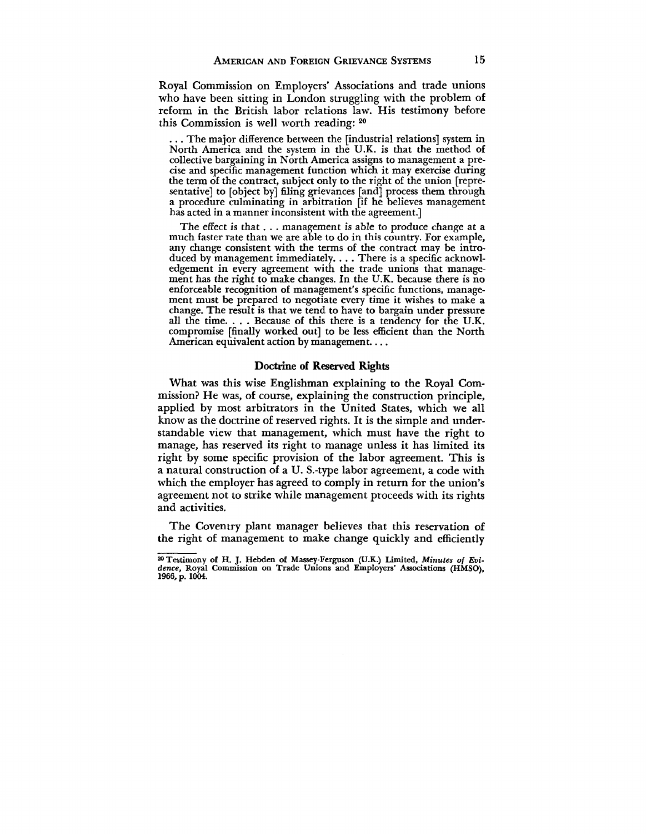Royal Commission on Employers' Associations and trade unions who have been sitting in London struggling with the problem of reform in the British labor relations law. His testimony before this Commission is well worth reading: 20

. . . The major difference between the [industrial relations] system in North America and the system in the U.K. is that the method of collective bargaining in North America assigns to management a precise and specific management function which it may exercise during the term of the contract, subject only to the right of the union [representative] to [object by] filing grievances [and] process them through a procedure culminating in arbitration [if he believes management has acted in a manner inconsistent with the agreement.]

The effect is that . . . management is able to produce change at a much faster rate than we are able to do in this country. For example, any change consistent with the terms of the contract may be introduced by management immediately. . . . There is a specific acknowledgement in every agreement with the trade unions that management has the right to make changes. In the U.K. because there is no enforceable recognition of management's specific functions, management must be prepared to negotiate every time it wishes to make a change. The result is that we tend to have to bargain under pressure all the time. . . . Because of this there is a tendency for the U.K. compromise [finally worked out] to be less efficient than the North American equivalent action by management....

### Doctrine of Reserved Rights

What was this wise Englishman explaining to the Royal Commission? He was, of course, explaining the construction principle, applied by most arbitrators in the United States, which we all know as the doctrine of reserved rights. It is the simple and understandable view that management, which must have the right to manage, has reserved its right to manage unless it has limited its right by some specific provision of the labor agreement. This is a natural construction of a U. S.-type labor agreement, a code with which the employer has agreed to comply in return for the union's agreement not to strike while management proceeds with its rights and activities.

The Coventry plant manager believes that this reservation of the right of management to make change quickly and efficiently

<sup>&</sup>lt;sup>20</sup> Testimony of H. J. Hebden of Massey-Ferguson (U.K.) Limited, Minutes of Evi-Testimony of H. J. Hebden of Massey-Ferguson (U.K.) Limited, *Minutes of Evi-dence,* Royal Commission on Trade Unions and Employers' Associations (HMSO), 1966, p. 1004.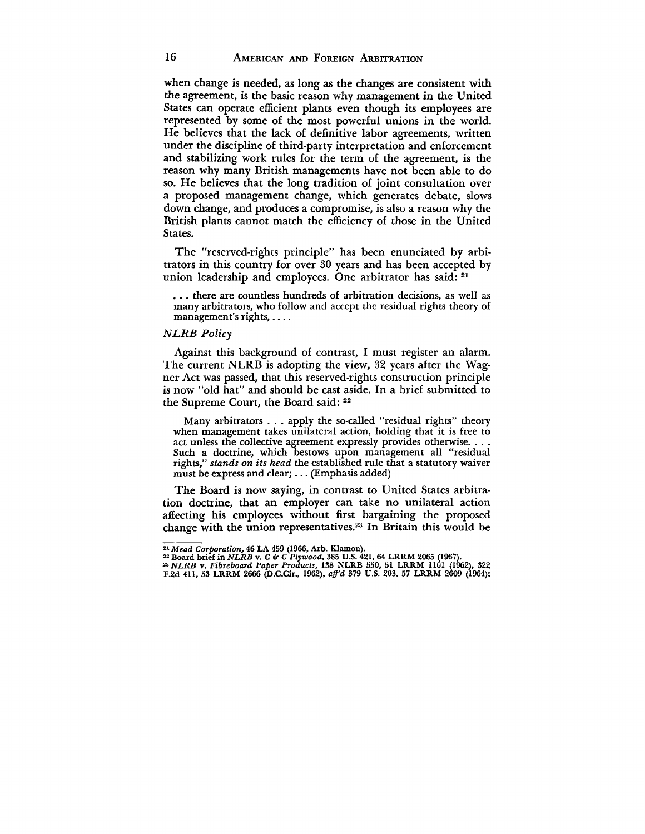when change is needed, as long as the changes are consistent with the agreement, is the basic reason why management in the United States can operate efficient plants even though its employees are represented by some of the most powerful unions in the world. He believes that the lack of definitive labor agreements, written under the discipline of third-party interpretation and enforcement and stabilizing work rules for the term of the agreement, is the reason why many British managements have not been able to do so. He believes that the long tradition of joint consultation over a proposed management change, which generates debate, slows down change, and produces a compromise, is also a reason why the British plants cannot match the efficiency of those in the United States.

The "reserved-rights principle" has been enunciated by arbitrators in this country for over 30 years and has been accepted by union leadership and employees. One arbitrator has said: 21

. . . there are countless hundreds of arbitration decisions, as well as many arbitrators, who follow and accept the residual rights theory of management's rights,

#### *NLRB Policy*

Against this background of contrast, I must register an alarm. The current NLRB is adopting the view, 32 years after the Wagner Act was passed, that this reserved-rights construction principle is now "old hat" and should be cast aside. In a brief submitted to the Supreme Court, the Board said: <sup>22</sup>

Many arbitrators . . . apply the so-called "residual rights" theory when management takes unilateral action, holding that it is free to act unless the collective agreement expressly provides otherwise. . . . Such a doctrine, which bestows upon management all "residual rights," *stands on its head* the established rule that a statutory waiver must be express and clear;... (Emphasis added)

The Board is now saying, in contrast to United States arbitration doctrine, that an employer can take no unilateral action affecting his employees without first bargaining the proposed change with the union representatives.<sup>23</sup> In Britain this would be

<sup>&</sup>lt;sup>21</sup> Mead Corporation, 46 LA 459 (1966, Arb. Klamon).<br><sup>22</sup> Board brief in *NLRB v. C & C Plywood,* 385 U.S. 421, 64 LRRM 2065 (1967).<br><sup>23</sup> N*LRB v. Fibreboard Paper Products,* 138 NLRB 550, 51 LRRM 1101 (1962), 322<br>F.2d 41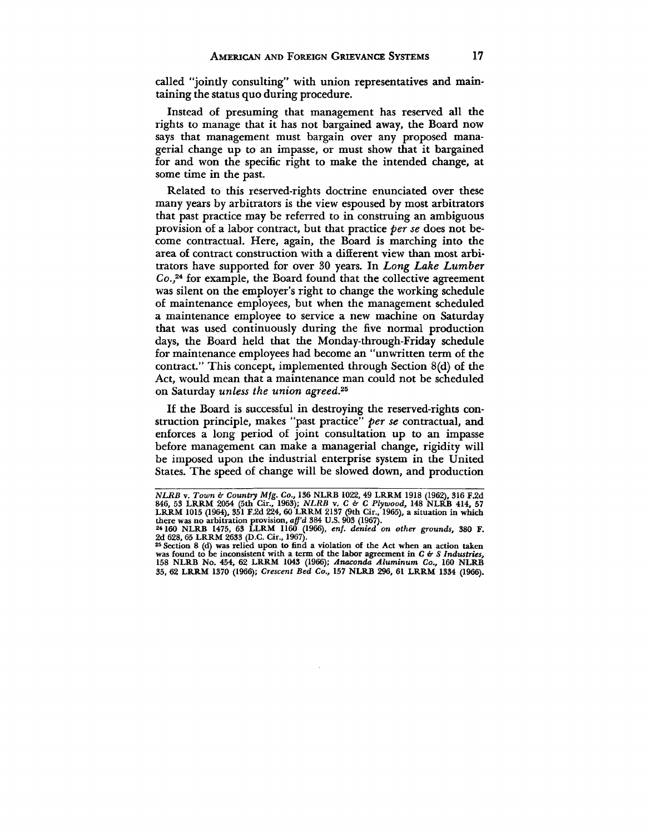called "jointly consulting" with union representatives and maintaining the status quo during procedure.

Instead of presuming that management has reserved all the rights to manage that it has not bargained away, the Board now says that management must bargain over any proposed managerial change up to an impasse, or must show that it bargained for and won the specific right to make the intended change, at some time in the past.

Related to this reserved-rights doctrine enunciated over these many years by arbitrators is the view espoused by most arbitrators that past practice may be referred to in construing an ambiguous provision of a labor contract, but that practice *per se* does not become contractual. Here, again, the Board is marching into the area of contract construction with a different view than most arbitrators have supported for over 30 years. In *Long Lake Lumber Co.,<sup>24</sup>* for example, the Board found that the collective agreement was silent on the employer's right to change the working schedule of maintenance employees, but when the management scheduled a maintenance employee to service a new machine on Saturday that was used continuously during the five normal production days, the Board held that the Monday-through-Friday schedule for maintenance employees had become an "unwritten term of the contract." This concept, implemented through Section 8(d) of the Act, would mean that a maintenance man could not be scheduled on Saturday *unless the union agreed.<sup>26</sup>*

If the Board is successful in destroying the reserved-rights construction principle, makes "past practice" *per se* contractual, and enforces a long period of joint consultation up to an impasse before management can make a managerial change, rigidity will be imposed upon the industrial enterprise system in the United States. The speed of change will be slowed down, and production

*NLRB v. Town & Country Mfg. Co.,* 136 NLRB 1022, 49 LRRM 1918 (1962), 316 F.2d<br>846, 53 LRRM 2054 (5th Cir., 1963); *NLRB v. C & C Plywood,* 148 NLRB 414, 57<br>LRRM 1015 (1964), 351 F.2d 224, 60 LRRM 2137 (9th Cir., 1965), a **there was no arbitration provision,** *aff'd* **384 U.S. 903 (1967). 2\*160 NLRB 1475, 63 LLRM 1160 (1966),** *enf. denied on other grounds,* **380 F.**

**<sup>2</sup>d 628,65 LRRM 2633 (D.C. Cir., 1967).**

**<sup>23</sup> Section 8 (d) was relied upon to find a violation of the Act when an action taken** was found to be inconsistent with a term of the labor agreement in *C* & *S Industries*, 158 NLRB No. 454, 62 LRRM 1043 (1966); *Anaconda Aluminum Co.*, 160 NLRB **35, 62 LRRM 1370 (1966);** *Crescent Bed Co.,* **157 NLRB 296, 61 LRRM 1334 (1966).**